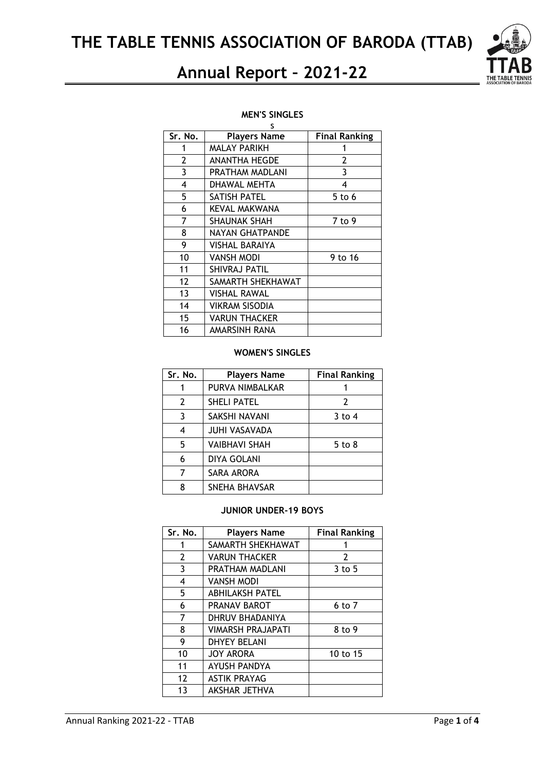**THE TABLE TENNIS ASSOCIATION OF BARODA (TTAB)**

# **Annual Report – 2021-22**

#### **MEN'S SINGLES** s

| Sr. No.        | <b>Players Name</b>   | <b>Final Ranking</b> |
|----------------|-----------------------|----------------------|
| 1              | <b>MALAY PARIKH</b>   | 1                    |
| 2              | <b>ANANTHA HEGDE</b>  | 2                    |
| $\overline{3}$ | PRATHAM MADLANI       | $\mathbf{3}$         |
| 4              | DHAWAL MEHTA          | 4                    |
| 5              | SATISH PATEL          | $5$ to 6             |
| 6              | <b>KEVAL MAKWANA</b>  |                      |
| 7              | SHAUNAK SHAH          | 7 to 9               |
| 8              | NAYAN GHATPANDE       |                      |
| 9              | VISHAL BARAIYA        |                      |
| 10             | VANSH MODI            | 9 to 16              |
| 11             | SHIVRAJ PATIL         |                      |
| 12             | SAMARTH SHEKHAWAT     |                      |
| 13             | VISHAL RAWAL          |                      |
| 14             | <b>VIKRAM SISODIA</b> |                      |
| 15             | VARUN THACKER         |                      |
| 16             | AMARSINH RANA         |                      |

#### **WOMEN'S SINGLES**

| Sr. No.        | <b>Players Name</b>  | <b>Final Ranking</b> |
|----------------|----------------------|----------------------|
|                | PURVA NIMBALKAR      | 1                    |
| $\overline{2}$ | <b>SHELI PATEL</b>   | 2                    |
| 3              | SAKSHI NAVANI        | $3$ to 4             |
| 4              | <b>JUHI VASAVADA</b> |                      |
| 5              | <b>VAIBHAVI SHAH</b> | 5 to 8               |
| 6              | <b>DIYA GOLANI</b>   |                      |
|                | SARA ARORA           |                      |
| 8              | SNEHA BHAVSAR        |                      |

### **JUNIOR UNDER-19 BOYS**

| Sr. No.        | <b>Players Name</b>      | <b>Final Ranking</b> |
|----------------|--------------------------|----------------------|
| 1              | SAMARTH SHEKHAWAT        |                      |
| $\overline{2}$ | <b>VARUN THACKER</b>     | $\overline{2}$       |
| 3              | PRATHAM MADLANI          | $3$ to 5             |
| 4              | <b>VANSH MODI</b>        |                      |
| 5              | <b>ABHILAKSH PATEL</b>   |                      |
| 6              | PRANAV BAROT             | 6 to 7               |
| 7              | DHRUV BHADANIYA          |                      |
| 8              | <b>VIMARSH PRAJAPATI</b> | 8 to 9               |
| 9              | <b>DHYEY BELANI</b>      |                      |
| 10             | <b>JOY ARORA</b>         | 10 to 15             |
| 11             | <b>AYUSH PANDYA</b>      |                      |
| 12             | <b>ASTIK PRAYAG</b>      |                      |
| 13             | AKSHAR JETHVA            |                      |

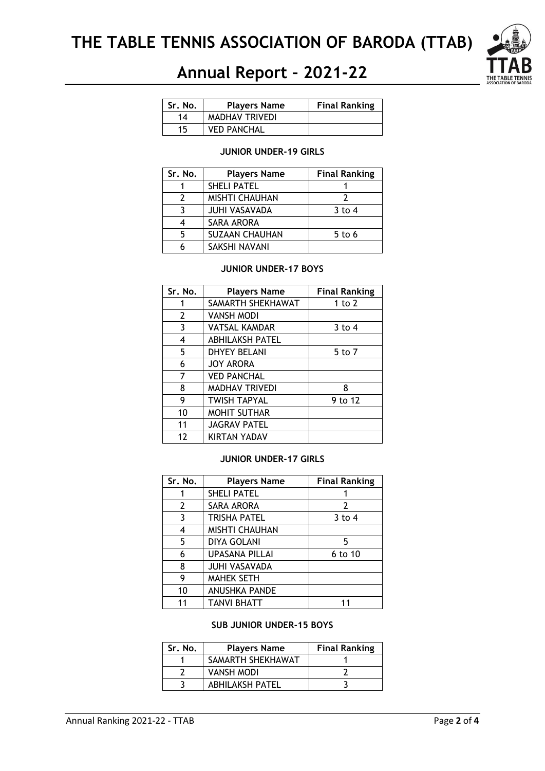

# **Annual Report – 2021-22**

| Sr. No. | <b>Players Name</b>   | <b>Final Ranking</b> |
|---------|-----------------------|----------------------|
| 14      | <b>MADHAV TRIVEDI</b> |                      |
| 15      | <b>VED PANCHAL</b>    |                      |

### **JUNIOR UNDER-19 GIRLS**

| Sr. No. | <b>Players Name</b>   | <b>Final Ranking</b> |
|---------|-----------------------|----------------------|
|         | <b>SHELI PATEL</b>    |                      |
|         | <b>MISHTI CHAUHAN</b> |                      |
|         | <b>JUHI VASAVADA</b>  | $3$ to 4             |
|         | SARA ARORA            |                      |
| 5       | <b>SUZAAN CHAUHAN</b> | $5$ to 6             |
|         | SAKSHI NAVANI         |                      |

#### **JUNIOR UNDER-17 BOYS**

| Sr. No.        | <b>Players Name</b>    | <b>Final Ranking</b> |
|----------------|------------------------|----------------------|
| 1              | SAMARTH SHEKHAWAT      | 1 to $2$             |
| $\overline{2}$ | <b>VANSH MODI</b>      |                      |
| 3              | <b>VATSAL KAMDAR</b>   | $3$ to 4             |
| 4              | <b>ABHILAKSH PATEL</b> |                      |
| 5              | <b>DHYEY BELANI</b>    | 5 to 7               |
| 6              | <b>JOY ARORA</b>       |                      |
| 7              | <b>VED PANCHAL</b>     |                      |
| 8              | <b>MADHAV TRIVEDI</b>  | 8                    |
| 9              | <b>TWISH TAPYAL</b>    | 9 to 12              |
| 10             | <b>MOHIT SUTHAR</b>    |                      |
| 11             | <b>JAGRAV PATEL</b>    |                      |
| 12             | KIRTAN YADAV           |                      |

#### **JUNIOR UNDER-17 GIRLS**

| Sr. No.               | <b>Players Name</b>   | <b>Final Ranking</b> |
|-----------------------|-----------------------|----------------------|
|                       | <b>SHELI PATEL</b>    |                      |
| $\mathbf{2}^{\prime}$ | SARA ARORA            | 2                    |
| 3                     | <b>TRISHA PATEL</b>   | $3$ to 4             |
| 4                     | <b>MISHTI CHAUHAN</b> |                      |
| 5                     | <b>DIYA GOLANI</b>    | 5                    |
| 6                     | <b>UPASANA PILLAI</b> | 6 to 10              |
| 8                     | <b>JUHI VASAVADA</b>  |                      |
| 9                     | <b>MAHEK SETH</b>     |                      |
| 10                    | <b>ANUSHKA PANDE</b>  |                      |
| 11                    | <b>TANVI BHATT</b>    |                      |

#### **SUB JUNIOR UNDER-15 BOYS**

| Sr. No. | <b>Players Name</b>    | <b>Final Ranking</b> |
|---------|------------------------|----------------------|
|         | SAMARTH SHEKHAWAT      |                      |
|         | <b>VANSH MODI</b>      |                      |
|         | <b>ABHILAKSH PATEL</b> |                      |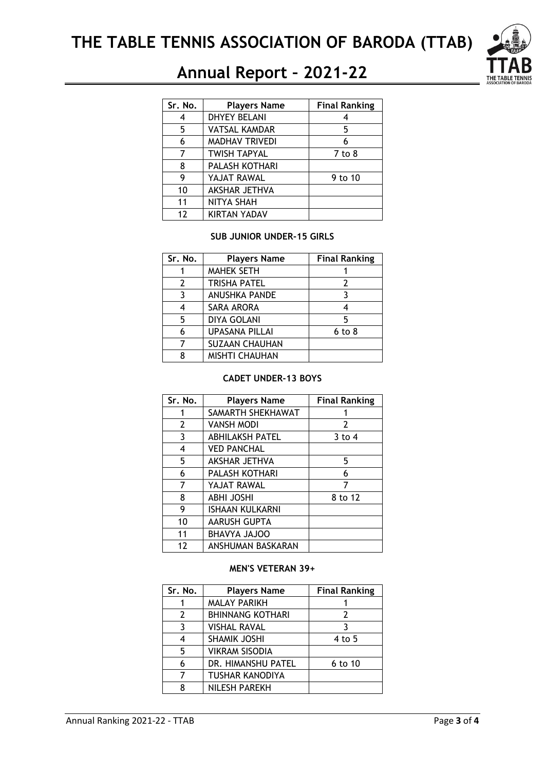

# **Annual Report – 2021-22**

| Sr. No. | <b>Players Name</b>   | <b>Final Ranking</b> |
|---------|-----------------------|----------------------|
| 4       | <b>DHYEY BELANI</b>   |                      |
| 5       | <b>VATSAL KAMDAR</b>  | 5                    |
| 6       | <b>MADHAV TRIVEDI</b> | 6                    |
|         | <b>TWISH TAPYAL</b>   | 7 to 8               |
| 8       | PALASH KOTHARI        |                      |
| 9       | YAJAT RAWAL           | 9 to 10              |
| 10      | AKSHAR JETHVA         |                      |
| 11      | NITYA SHAH            |                      |
| 12      | <b>KIRTAN YADAV</b>   |                      |

#### **SUB JUNIOR UNDER-15 GIRLS**

| Sr. No. | <b>Players Name</b>   | <b>Final Ranking</b> |
|---------|-----------------------|----------------------|
|         | <b>MAHEK SETH</b>     |                      |
| 2       | <b>TRISHA PATEL</b>   | 2                    |
| 3       | <b>ANUSHKA PANDE</b>  | 3                    |
|         | SARA ARORA            | 4                    |
| 5       | <b>DIYA GOLANI</b>    | 5                    |
| 6       | <b>UPASANA PILLAI</b> | $6$ to $8$           |
|         | <b>SUZAAN CHAUHAN</b> |                      |
|         | <b>MISHTI CHAUHAN</b> |                      |

#### **CADET UNDER-13 BOYS**

| Sr. No.        | <b>Players Name</b>    | <b>Final Ranking</b> |
|----------------|------------------------|----------------------|
| 1              | SAMARTH SHEKHAWAT      |                      |
| $\overline{2}$ | VANSH MODI             | $\overline{2}$       |
| 3              | <b>ABHILAKSH PATEL</b> | $3$ to 4             |
| 4              | <b>VED PANCHAL</b>     |                      |
| 5              | AKSHAR JETHVA          | 5                    |
| 6              | PALASH KOTHARI         | 6                    |
| 7              | YAJAT RAWAL            | 7                    |
| 8              | <b>ABHI JOSHI</b>      | 8 to 12              |
| 9              | ISHAAN KULKARNI        |                      |
| 10             | AARUSH GUPTA           |                      |
| 11             | <b>OOLAL AYVAHE</b>    |                      |
| 12             | ANSHUMAN BASKARAN      |                      |

### **MEN'S VETERAN 39+**

| Sr. No. | <b>Players Name</b>     | <b>Final Ranking</b> |
|---------|-------------------------|----------------------|
|         | <b>MALAY PARIKH</b>     |                      |
| 2       | <b>BHINNANG KOTHARI</b> | 2                    |
| 3       | <b>VISHAL RAVAL</b>     |                      |
| 4       | SHAMIK JOSHI            | 4 to 5               |
| 5       | <b>VIKRAM SISODIA</b>   |                      |
| 6       | DR. HIMANSHU PATEL      | 6 to 10              |
|         | <b>TUSHAR KANODIYA</b>  |                      |
| Я       | NILESH PAREKH           |                      |